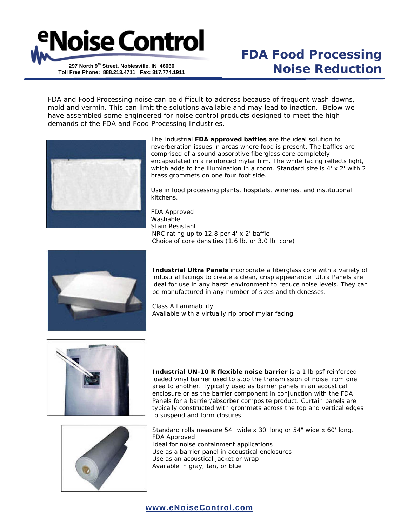

## **FDA Food Processing Noise Reduction**

FDA and Food Processing noise can be difficult to address because of frequent wash downs, mold and vermin. This can limit the solutions available and may lead to inaction. Below we have assembled some engineered for noise control products designed to meet the high demands of the FDA and Food Processing Industries.



The Industrial **FDA approved baffles** are the ideal solution to reverberation issues in areas where food is present. The baffles are comprised of a sound absorptive fiberglass core completely encapsulated in a reinforced mylar film. The white facing reflects light, which adds to the illumination in a room. Standard size is 4' x 2' with 2 brass grommets on one four foot side.

Use in food processing plants, hospitals, wineries, and institutional kitchens.

FDA Approved Washable Stain Resistant NRC rating up to 12.8 per 4' x 2' baffle Choice of core densities (1.6 lb. or 3.0 lb. core)



**Industrial Ultra Panels** incorporate a fiberglass core with a variety of industrial facings to create a clean, crisp appearance. Ultra Panels are ideal for use in any harsh environment to reduce noise levels. They can be manufactured in any number of sizes and thicknesses.

Class A flammability Available with a virtually rip proof mylar facing



**Industrial UN-10 R flexible noise barrier** is a 1 lb psf reinforced loaded vinyl barrier used to stop the transmission of noise from one area to another. Typically used as barrier panels in an acoustical enclosure or as the barrier component in conjunction with the FDA Panels for a barrier/absorber composite product. Curtain panels are typically constructed with grommets across the top and vertical edges to suspend and form closures.



Standard rolls measure 54" wide x 30' long or 54" wide x 60' long. FDA Approved Ideal for noise containment applications Use as a barrier panel in acoustical enclosures Use as an acoustical jacket or wrap Available in gray, tan, or blue